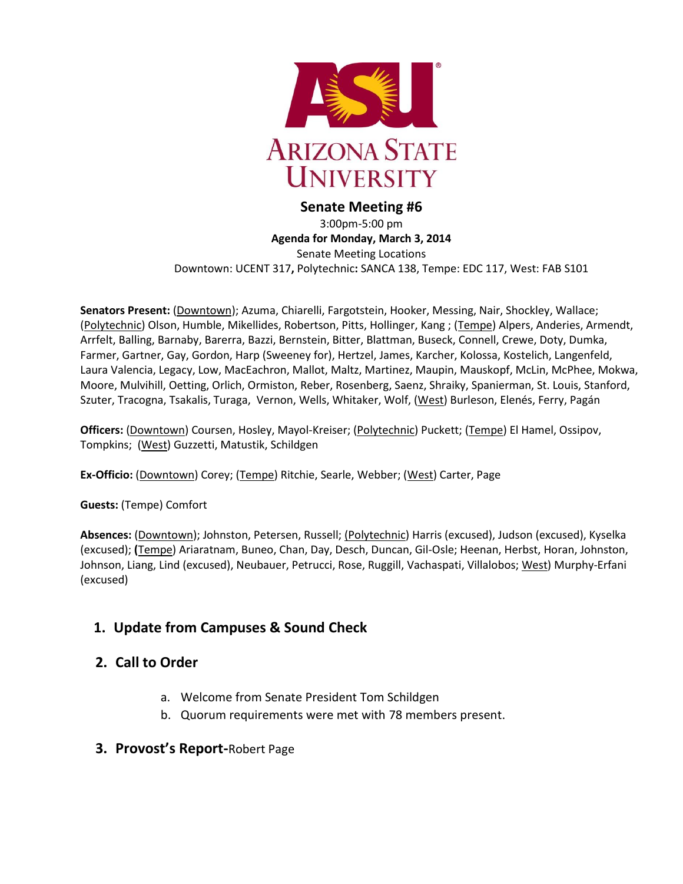

### **Senate Meeting #6** 3:00pm-5:00 pm **Agenda for Monday, March 3, 2014** Senate Meeting Locations Downtown: UCENT 317**,** Polytechnic**:** SANCA 138, Tempe: EDC 117, West: FAB S101

**Senators Present:** (Downtown); Azuma, Chiarelli, Fargotstein, Hooker, Messing, Nair, Shockley, Wallace; (Polytechnic) Olson, Humble, Mikellides, Robertson, Pitts, Hollinger, Kang ; (Tempe) Alpers, Anderies, Armendt, Arrfelt, Balling, Barnaby, Barerra, Bazzi, Bernstein, Bitter, Blattman, Buseck, Connell, Crewe, Doty, Dumka, Farmer, Gartner, Gay, Gordon, Harp (Sweeney for), Hertzel, James, Karcher, Kolossa, Kostelich, Langenfeld, Laura Valencia, Legacy, Low, MacEachron, Mallot, Maltz, Martinez, Maupin, Mauskopf, McLin, McPhee, Mokwa, Moore, Mulvihill, Oetting, Orlich, Ormiston, Reber, Rosenberg, Saenz, Shraiky, Spanierman, St. Louis, Stanford, Szuter, Tracogna, Tsakalis, Turaga, Vernon, Wells, Whitaker, Wolf, (West) Burleson, Elenés, Ferry, Pagán

**Officers:** (Downtown) Coursen, Hosley, Mayol-Kreiser; (Polytechnic) Puckett; (Tempe) El Hamel, Ossipov, Tompkins; (West) Guzzetti, Matustik, Schildgen

**Ex-Officio:** (Downtown) Corey; (Tempe) Ritchie, Searle, Webber; (West) Carter, Page

**Guests:** (Tempe) Comfort

**Absences:** (Downtown); Johnston, Petersen, Russell; (Polytechnic) Harris (excused), Judson (excused), Kyselka (excused); **(**Tempe) Ariaratnam, Buneo, Chan, Day, Desch, Duncan, Gil-Osle; Heenan, Herbst, Horan, Johnston, Johnson, Liang, Lind (excused), Neubauer, Petrucci, Rose, Ruggill, Vachaspati, Villalobos; West) Murphy-Erfani (excused)

# **1. Update from Campuses & Sound Check**

# **2. Call to Order**

- a. Welcome from Senate President Tom Schildgen
- b. Quorum requirements were met with 78 members present.
- **3. Provost's Report-**Robert Page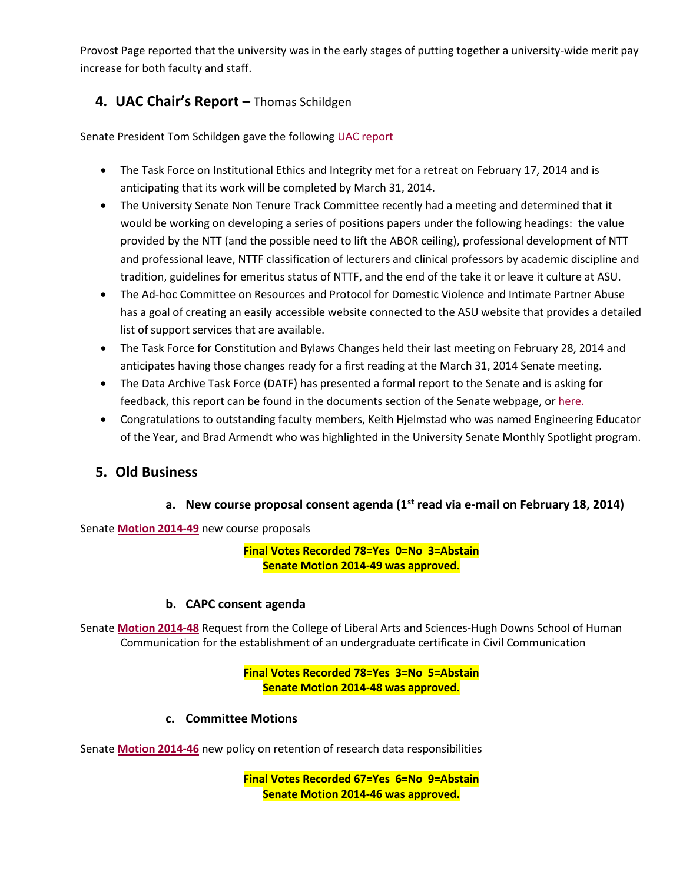Provost Page reported that the university was in the early stages of putting together a university-wide merit pay increase for both faculty and staff.

## **4. UAC Chair's Report –** Thomas Schildgen

Senate President Tom Schildgen gave the followin[g UAC report](http://usenate.asu.edu/node/4920)

- The Task Force on Institutional Ethics and Integrity met for a retreat on February 17, 2014 and is anticipating that its work will be completed by March 31, 2014.
- The University Senate Non Tenure Track Committee recently had a meeting and determined that it would be working on developing a series of positions papers under the following headings: the value provided by the NTT (and the possible need to lift the ABOR ceiling), professional development of NTT and professional leave, NTTF classification of lecturers and clinical professors by academic discipline and tradition, guidelines for emeritus status of NTTF, and the end of the take it or leave it culture at ASU.
- The Ad-hoc Committee on Resources and Protocol for Domestic Violence and Intimate Partner Abuse has a goal of creating an easily accessible website connected to the ASU website that provides a detailed list of support services that are available.
- The Task Force for Constitution and Bylaws Changes held their last meeting on February 28, 2014 and anticipates having those changes ready for a first reading at the March 31, 2014 Senate meeting.
- The Data Archive Task Force (DATF) has presented a formal report to the Senate and is asking for feedback, this report can be found in the documents section of the Senate webpage, o[r here.](http://usenate.asu.edu/node/4919)
- Congratulations to outstanding faculty members, Keith Hjelmstad who was named Engineering Educator of the Year, and Brad Armendt who was highlighted in the University Senate Monthly Spotlight program.

## **5. Old Business**

### **a. New course proposal consent agenda (1st read via e-mail on February 18, 2014)**

Senate **[Motion 2014-49](http://usenate.asu.edu/node/4902)** new course proposals

#### **Final Votes Recorded 78=Yes 0=No 3=Abstain Senate Motion 2014-49 was approved.**

#### **b. CAPC consent agenda**

Senate **[Motion 2014-48](http://usenate.asu.edu/node/4884)** Request from the College of Liberal Arts and Sciences-Hugh Downs School of Human Communication for the establishment of an undergraduate certificate in Civil Communication

#### **Final Votes Recorded 78=Yes 3=No 5=Abstain Senate Motion 2014-48 was approved.**

#### **c. Committee Motions**

Senate **[Motion 2014-46](http://usenate.asu.edu/node/4882)** new policy on retention of research data responsibilities

**Final Votes Recorded 67=Yes 6=No 9=Abstain Senate Motion 2014-46 was approved.**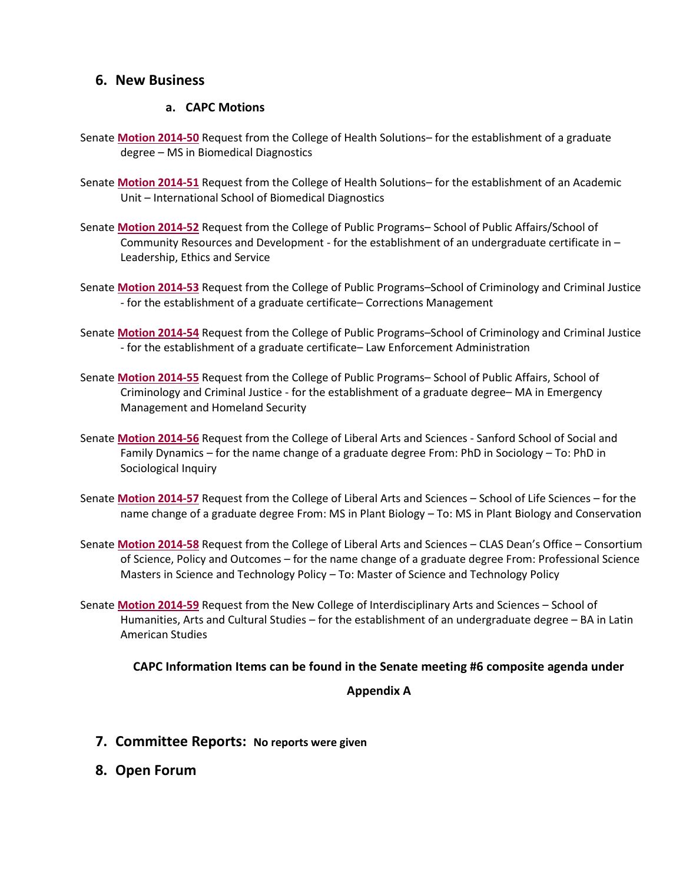### **6. New Business**

#### **a. CAPC Motions**

- Senate **[Motion 2014-50](http://usenate.asu.edu/node/4905)** Request from the College of Health Solutions– for the establishment of a graduate degree – MS in Biomedical Diagnostics
- Senate **[Motion 2014-51](http://usenate.asu.edu/node/4906)** Request from the College of Health Solutions– for the establishment of an Academic Unit – International School of Biomedical Diagnostics
- Senate **[Motion 2014-52](http://usenate.asu.edu/node/4907)** Request from the College of Public Programs– School of Public Affairs/School of Community Resources and Development - for the establishment of an undergraduate certificate in – Leadership, Ethics and Service
- Senate **[Motion 2014-53](http://usenate.asu.edu/node/4908)** Request from the College of Public Programs–School of Criminology and Criminal Justice - for the establishment of a graduate certificate– Corrections Management
- Senate **[Motion 2014-54](http://usenate.asu.edu/node/4909)** Request from the College of Public Programs–School of Criminology and Criminal Justice - for the establishment of a graduate certificate– Law Enforcement Administration
- Senate **[Motion 2014-55](http://usenate.asu.edu/node/4910)** Request from the College of Public Programs– School of Public Affairs, School of Criminology and Criminal Justice - for the establishment of a graduate degree– MA in Emergency Management and Homeland Security
- Senate **[Motion 2014-56](http://usenate.asu.edu/node/4912)** Request from the College of Liberal Arts and Sciences Sanford School of Social and Family Dynamics – for the name change of a graduate degree From: PhD in Sociology – To: PhD in Sociological Inquiry
- Senate **[Motion 2014-57](http://usenate.asu.edu/node/4913)** Request from the College of Liberal Arts and Sciences School of Life Sciences for the name change of a graduate degree From: MS in Plant Biology – To: MS in Plant Biology and Conservation
- Senate **[Motion 2014-58](http://usenate.asu.edu/node/4914)** Request from the College of Liberal Arts and Sciences CLAS Dean's Office Consortium of Science, Policy and Outcomes – for the name change of a graduate degree From: Professional Science Masters in Science and Technology Policy – To: Master of Science and Technology Policy
- Senate **[Motion 2014-59](http://usenate.asu.edu/node/4915)** Request from the New College of Interdisciplinary Arts and Sciences School of Humanities, Arts and Cultural Studies – for the establishment of an undergraduate degree – BA in Latin American Studies

**CAPC Information Items can be found in the Senate meeting #6 composite agenda under** 

#### **Appendix A**

- **7. Committee Reports: No reports were given**
- **8. Open Forum**